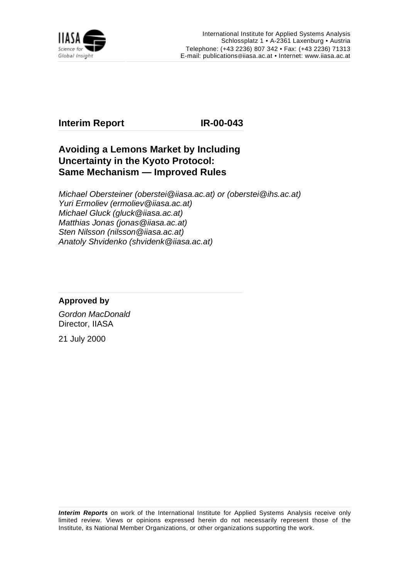

## **Interim Report IR-00-043**

## **Avoiding a Lemons Market by Including Uncertainty in the Kyoto Protocol: Same Mechanism — Improved Rules**

Michael Obersteiner (oberstei@iiasa.ac.at) or (oberstei@ihs.ac.at) Yuri Ermoliev (ermoliev@iiasa.ac.at) Michael Gluck (gluck@iiasa.ac.at) Matthias Jonas (jonas@iiasa.ac.at) Sten Nilsson (nilsson@iiasa.ac.at) Anatoly Shvidenko (shvidenk@iiasa.ac.at)

### **Approved by**

Gordon MacDonald Director, IIASA

21 July 2000

**Interim Reports** on work of the International Institute for Applied Systems Analysis receive only limited review. Views or opinions expressed herein do not necessarily represent those of the Institute, its National Member Organizations, or other organizations supporting the work.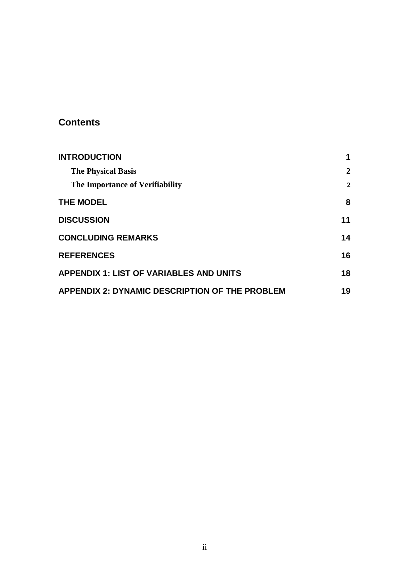## **Contents**

| <b>INTRODUCTION</b>                                   | 1              |
|-------------------------------------------------------|----------------|
| <b>The Physical Basis</b>                             | $\mathbf{2}$   |
| The Importance of Verifiability                       | $\overline{2}$ |
| <b>THE MODEL</b>                                      | 8              |
| <b>DISCUSSION</b>                                     | 11             |
| <b>CONCLUDING REMARKS</b>                             | 14             |
| <b>REFERENCES</b>                                     | 16             |
| <b>APPENDIX 1: LIST OF VARIABLES AND UNITS</b>        | 18             |
| <b>APPENDIX 2: DYNAMIC DESCRIPTION OF THE PROBLEM</b> | 19             |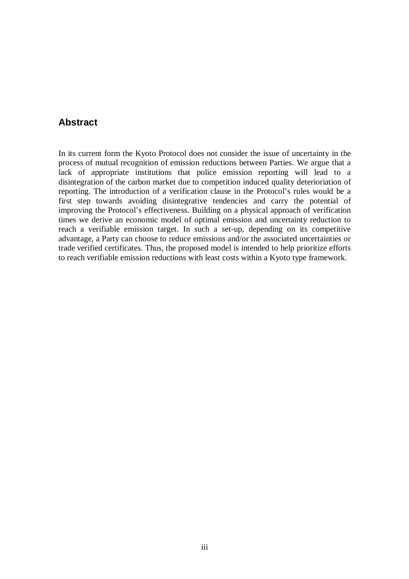### **Abstract**

In its current form the Kyoto Protocol does not consider the issue of uncertainty in the process of mutual recognition of emission reductions between Parties. We argue that a lack of appropriate institutions that police emission reporting will lead to a disintegration of the carbon market due to competition induced quality deterioriation of reporting. The introduction of a verification clause in the Protocol's rules would be a first step towards avoiding disintegrative tendencies and carry the potential of improving the Protocol's effectiveness. Building on a physical approach of verification times we derive an economic model of optimal emission and uncertainty reduction to reach a verifiable emission target. In such a set-up, depending on its competitive advantage, a Party can choose to reduce emissions and/or the associated uncertainties or trade verified certificates. Thus, the proposed model is intended to help prioritize efforts to reach verifiable emission reductions with least costs within a Kyoto type framework.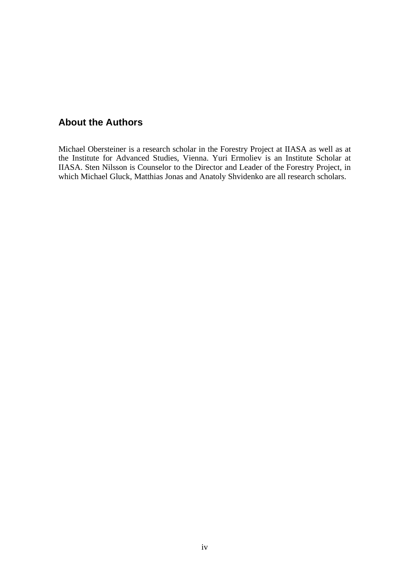## **About the Authors**

Michael Obersteiner is a research scholar in the Forestry Project at IIASA as well as at the Institute for Advanced Studies, Vienna. Yuri Ermoliev is an Institute Scholar at IIASA. Sten Nilsson is Counselor to the Director and Leader of the Forestry Project, in which Michael Gluck, Matthias Jonas and Anatoly Shvidenko are all research scholars.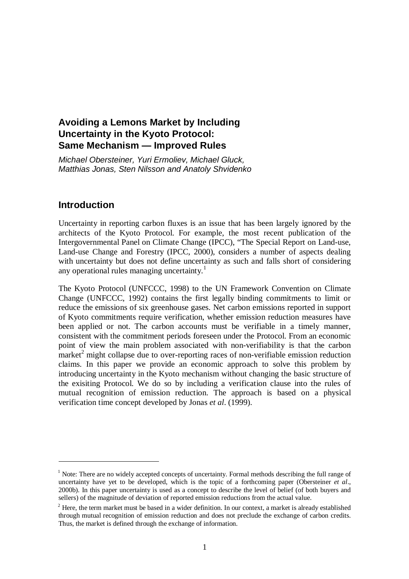## **Avoiding a Lemons Market by Including Uncertainty in the Kyoto Protocol: Same Mechanism — Improved Rules**

Michael Obersteiner, Yuri Ermoliev, Michael Gluck, Matthias Jonas, Sten Nilsson and Anatoly Shvidenko

## **Introduction**

1

Uncertainty in reporting carbon fluxes is an issue that has been largely ignored by the architects of the Kyoto Protocol. For example, the most recent publication of the Intergovernmental Panel on Climate Change (IPCC), "The Special Report on Land-use, Land-use Change and Forestry (IPCC, 2000), considers a number of aspects dealing with uncertainty but does not define uncertainty as such and falls short of considering any operational rules managing uncertainty. $\frac{1}{1}$ 

The Kyoto Protocol (UNFCCC, 1998) to the UN Framework Convention on Climate Change (UNFCCC, 1992) contains the first legally binding commitments to limit or reduce the emissions of six greenhouse gases. Net carbon emissions reported in support of Kyoto commitments require verification, whether emission reduction measures have been applied or not. The carbon accounts must be verifiable in a timely manner, consistent with the commitment periods foreseen under the Protocol. From an economic point of view the main problem associated with non-verifiability is that the carbon market<sup>2</sup> might collapse due to over-reporting races of non-verifiable emission reduction claims. In this paper we provide an economic approach to solve this problem by introducing uncertainty in the Kyoto mechanism without changing the basic structure of the exisiting Protocol. We do so by including a verification clause into the rules of mutual recognition of emission reduction. The approach is based on a physical verification time concept developed by Jonas *et al*. (1999).

<sup>&</sup>lt;sup>1</sup> Note: There are no widely accepted concepts of uncertainty. Formal methods describing the full range of uncertainty have yet to be developed, which is the topic of a forthcoming paper (Obersteiner *et al*., 2000b). In this paper uncertainty is used as a concept to describe the level of belief (of both buyers and sellers) of the magnitude of deviation of reported emission reductions from the actual value.

 $2$  Here, the term market must be based in a wider definition. In our context, a market is already established through mutual recognition of emission reduction and does not preclude the exchange of carbon credits. Thus, the market is defined through the exchange of information.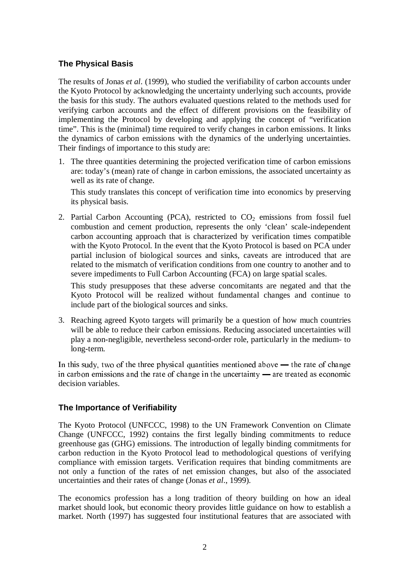### **The Physical Basis**

The results of Jonas *et al*. (1999), who studied the verifiability of carbon accounts under the Kyoto Protocol by acknowledging the uncertainty underlying such accounts, provide the basis for this study. The authors evaluated questions related to the methods used for verifying carbon accounts and the effect of different provisions on the feasibility of implementing the Protocol by developing and applying the concept of "verification time". This is the (minimal) time required to verify changes in carbon emissions. It links the dynamics of carbon emissions with the dynamics of the underlying uncertainties. Their findings of importance to this study are:

1. The three quantities determining the projected verification time of carbon emissions are: today's (mean) rate of change in carbon emissions, the associated uncertainty as well as its rate of change.

This study translates this concept of verification time into economics by preserving its physical basis.

2. Partial Carbon Accounting (PCA), restricted to  $CO<sub>2</sub>$  emissions from fossil fuel combustion and cement production, represents the only 'clean' scale-independent carbon accounting approach that is characterized by verification times compatible with the Kyoto Protocol. In the event that the Kyoto Protocol is based on PCA under partial inclusion of biological sources and sinks, caveats are introduced that are related to the mismatch of verification conditions from one country to another and to severe impediments to Full Carbon Accounting (FCA) on large spatial scales.

This study presupposes that these adverse concomitants are negated and that the Kyoto Protocol will be realized without fundamental changes and continue to include part of the biological sources and sinks.

3. Reaching agreed Kyoto targets will primarily be a question of how much countries will be able to reduce their carbon emissions. Reducing associated uncertainties will play a non-negligible, nevertheless second-order role, particularly in the medium- to long-term.

In this sudy, two of the three physical quantities mentioned above  $\rightarrow$  the rate of change in carbon emissions and the rate of change in the uncertainty — are treated as economic decision variables.

#### **The Importance of Verifiability**

The Kyoto Protocol (UNFCCC, 1998) to the UN Framework Convention on Climate Change (UNFCCC, 1992) contains the first legally binding commitments to reduce greenhouse gas (GHG) emissions. The introduction of legally binding commitments for carbon reduction in the Kyoto Protocol lead to methodological questions of verifying compliance with emission targets. Verification requires that binding commitments are not only a function of the rates of net emission changes, but also of the associated uncertainties and their rates of change (Jonas *et al*., 1999).

The economics profession has a long tradition of theory building on how an ideal market should look, but economic theory provides little guidance on how to establish a market. North (1997) has suggested four institutional features that are associated with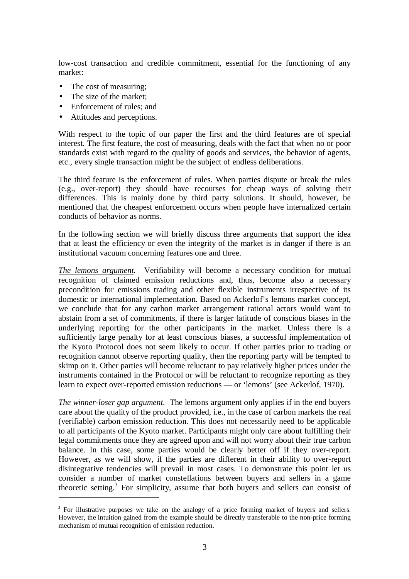low-cost transaction and credible commitment, essential for the functioning of any market:

- The cost of measuring;
- The size of the market:

1

- Enforcement of rules; and
- Attitudes and perceptions.

With respect to the topic of our paper the first and the third features are of special interest. The first feature, the cost of measuring, deals with the fact that when no or poor standards exist with regard to the quality of goods and services, the behavior of agents, etc., every single transaction might be the subject of endless deliberations.

The third feature is the enforcement of rules. When parties dispute or break the rules (e.g., over-report) they should have recourses for cheap ways of solving their differences. This is mainly done by third party solutions. It should, however, be mentioned that the cheapest enforcement occurs when people have internalized certain conducts of behavior as norms.

In the following section we will briefly discuss three arguments that support the idea that at least the efficiency or even the integrity of the market is in danger if there is an institutional vacuum concerning features one and three.

*The lemons argument.* Verifiability will become a necessary condition for mutual recognition of claimed emission reductions and, thus, become also a necessary precondition for emissions trading and other flexible instruments irrespective of its domestic or international implementation. Based on Ackerlof's lemons market concept, we conclude that for any carbon market arrangement rational actors would want to abstain from a set of commitments, if there is larger latitude of conscious biases in the underlying reporting for the other participants in the market. Unless there is a sufficiently large penalty for at least conscious biases, a successful implementation of the Kyoto Protocol does not seem likely to occur. If other parties prior to trading or recognition cannot observe reporting quality, then the reporting party will be tempted to skimp on it. Other parties will become reluctant to pay relatively higher prices under the instruments contained in the Protocol or will be reluctant to recognize reporting as they learn to expect over-reported emission reductions — or 'lemons' (see Ackerlof, 1970).

*The winner-loser gap argument.* The lemons argument only applies if in the end buyers care about the quality of the product provided, i.e., in the case of carbon markets the real (verifiable) carbon emission reduction. This does not necessarily need to be applicable to all participants of the Kyoto market. Participants might only care about fulfilling their legal commitments once they are agreed upon and will not worry about their true carbon balance. In this case, some parties would be clearly better off if they over-report. However, as we will show, if the parties are different in their ability to over-report disintegrative tendencies will prevail in most cases. To demonstrate this point let us consider a number of market constellations between buyers and sellers in a game theoretic setting. $3$  For simplicity, assume that both buyers and sellers can consist of

 $3$  For illustrative purposes we take on the analogy of a price forming market of buyers and sellers. However, the intuition gained from the example should be directly transferable to the non-price forming mechanism of mutual recognition of emission reduction.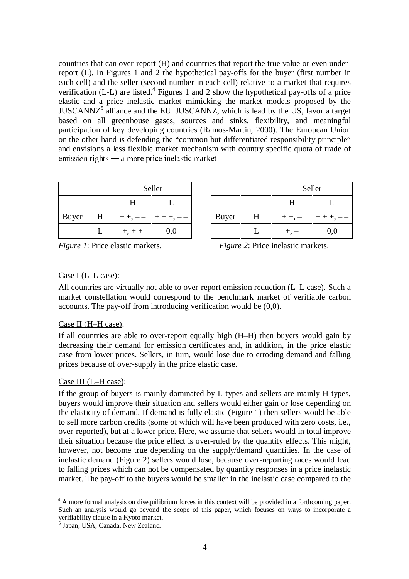countries that can over-report (H) and countries that report the true value or even underreport (L). In Figures 1 and 2 the hypothetical pay-offs for the buyer (first number in each cell) and the seller (second number in each cell) relative to a market that requires verification (L-L) are listed.<sup>4</sup> Figures 1 and 2 show the hypothetical pay-offs of a price elastic and a price inelastic market mimicking the market models proposed by the  $JUSCANNZ<sup>5</sup>$  alliance and the EU. JUSCANNZ, which is lead by the US, favor a target based on all greenhouse gases, sources and sinks, flexibility, and meaningful participation of key developing countries (Ramos-Martin, 2000). The European Union on the other hand is defending the "common but differentiated responsibility principle" and envisions a less flexible market mechanism with country specific quota of trade of emission rights  $-$  a more price inelastic market.

|              |   | Seller       |           |  |  |
|--------------|---|--------------|-----------|--|--|
|              |   | H            |           |  |  |
| <b>Buyer</b> | H | $++$ , $---$ | $+++, --$ |  |  |
|              |   | $+, + +$     | 0,0       |  |  |

|       |   | Seller   |           |              |   | Seller      |     |
|-------|---|----------|-----------|--------------|---|-------------|-----|
|       |   | п        |           |              |   |             |     |
| Buyer | H | $++,--$  | $+ + +$ , | <b>Buyer</b> | H | $+ +$ , $-$ |     |
|       |   | $+, + +$ | 0,0       |              |   | т.          | 0,0 |

*Figure 1*: Price elastic markets. *Figure 2*: Price inelastic markets.

#### Case I (L–L case):

All countries are virtually not able to over-report emission reduction (L–L case). Such a market constellation would correspond to the benchmark market of verifiable carbon accounts. The pay-off from introducing verification would be (0,0).

### Case II (H–H case):

If all countries are able to over-report equally high (H–H) then buyers would gain by decreasing their demand for emission certificates and, in addition, in the price elastic case from lower prices. Sellers, in turn, would lose due to erroding demand and falling prices because of over-supply in the price elastic case.

#### Case III (L–H case):

1

If the group of buyers is mainly dominated by L-types and sellers are mainly H-types, buyers would improve their situation and sellers would either gain or lose depending on the elasticity of demand. If demand is fully elastic (Figure 1) then sellers would be able to sell more carbon credits (some of which will have been produced with zero costs, i.e., over-reported), but at a lower price. Here, we assume that sellers would in total improve their situation because the price effect is over-ruled by the quantity effects. This might, however, not become true depending on the supply/demand quantities. In the case of inelastic demand (Figure 2) sellers would lose, because over-reporting races would lead to falling prices which can not be compensated by quantity responses in a price inelastic market. The pay-off to the buyers would be smaller in the inelastic case compared to the

<sup>&</sup>lt;sup>4</sup> A more formal analysis on disequilibrium forces in this context will be provided in a forthcoming paper. Such an analysis would go beyond the scope of this paper, which focuses on ways to incorporate a verifiability clause in a Kyoto market.

<sup>5</sup> Japan, USA, Canada, New Zealand.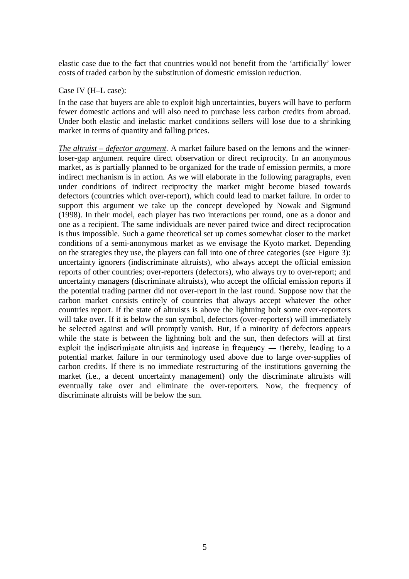elastic case due to the fact that countries would not benefit from the 'artificially' lower costs of traded carbon by the substitution of domestic emission reduction.

#### Case IV (H–L case):

In the case that buyers are able to exploit high uncertainties, buyers will have to perform fewer domestic actions and will also need to purchase less carbon credits from abroad. Under both elastic and inelastic market conditions sellers will lose due to a shrinking market in terms of quantity and falling prices.

*The altruist – defector argument.* A market failure based on the lemons and the winnerloser-gap argument require direct observation or direct reciprocity. In an anonymous market, as is partially planned to be organized for the trade of emission permits, a more indirect mechanism is in action. As we will elaborate in the following paragraphs, even under conditions of indirect reciprocity the market might become biased towards defectors (countries which over-report), which could lead to market failure. In order to support this argument we take up the concept developed by Nowak and Sigmund (1998). In their model, each player has two interactions per round, one as a donor and one as a recipient. The same individuals are never paired twice and direct reciprocation is thus impossible. Such a game theoretical set up comes somewhat closer to the market conditions of a semi-anonymous market as we envisage the Kyoto market. Depending on the strategies they use, the players can fall into one of three categories (see Figure 3): uncertainty ignorers (indiscriminate altruists), who always accept the official emission reports of other countries; over-reporters (defectors), who always try to over-report; and uncertainty managers (discriminate altruists), who accept the official emission reports if the potential trading partner did not over-report in the last round. Suppose now that the carbon market consists entirely of countries that always accept whatever the other countries report. If the state of altruists is above the lightning bolt some over-reporters will take over. If it is below the sun symbol, defectors (over-reporters) will immediately be selected against and will promptly vanish. But, if a minority of defectors appears while the state is between the lightning bolt and the sun, then defectors will at first exploit the indiscriminate altruists and increase in frequency  $-$  thereby, leading to a potential market failure in our terminology used above due to large over-supplies of carbon credits. If there is no immediate restructuring of the institutions governing the market (i.e., a decent uncertainty management) only the discriminate altruists will eventually take over and eliminate the over-reporters. Now, the frequency of discriminate altruists will be below the sun.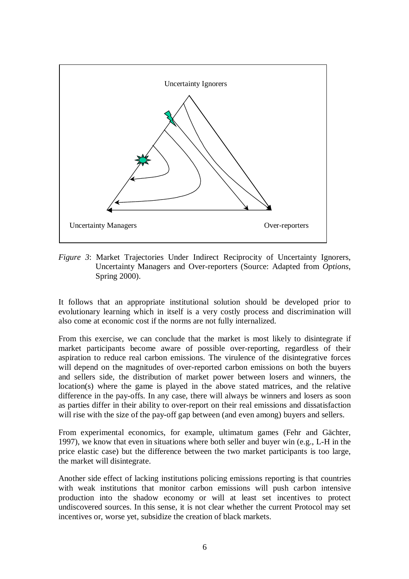

*Figure 3*: Market Trajectories Under Indirect Reciprocity of Uncertainty Ignorers, Uncertainty Managers and Over-reporters (Source: Adapted from *Options*, Spring 2000).

It follows that an appropriate institutional solution should be developed prior to evolutionary learning which in itself is a very costly process and discrimination will also come at economic cost if the norms are not fully internalized.

From this exercise, we can conclude that the market is most likely to disintegrate if market participants become aware of possible over-reporting, regardless of their aspiration to reduce real carbon emissions. The virulence of the disintegrative forces will depend on the magnitudes of over-reported carbon emissions on both the buyers and sellers side, the distribution of market power between losers and winners, the location(s) where the game is played in the above stated matrices, and the relative difference in the pay-offs. In any case, there will always be winners and losers as soon as parties differ in their ability to over-report on their real emissions and dissatisfaction will rise with the size of the pay-off gap between (and even among) buyers and sellers.

From experimental economics, for example, ultimatum games (Fehr and Gächter, 1997), we know that even in situations where both seller and buyer win (e.g., L-H in the price elastic case) but the difference between the two market participants is too large, the market will disintegrate.

Another side effect of lacking institutions policing emissions reporting is that countries with weak institutions that monitor carbon emissions will push carbon intensive production into the shadow economy or will at least set incentives to protect undiscovered sources. In this sense, it is not clear whether the current Protocol may set incentives or, worse yet, subsidize the creation of black markets.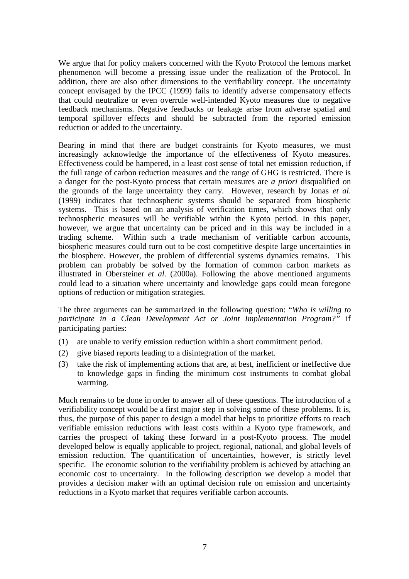We argue that for policy makers concerned with the Kyoto Protocol the lemons market phenomenon will become a pressing issue under the realization of the Protocol. In addition, there are also other dimensions to the verifiability concept. The uncertainty concept envisaged by the IPCC (1999) fails to identify adverse compensatory effects that could neutralize or even overrule well-intended Kyoto measures due to negative feedback mechanisms. Negative feedbacks or leakage arise from adverse spatial and temporal spillover effects and should be subtracted from the reported emission reduction or added to the uncertainty.

Bearing in mind that there are budget constraints for Kyoto measures, we must increasingly acknowledge the importance of the effectiveness of Kyoto measures. Effectiveness could be hampered, in a least cost sense of total net emission reduction, if the full range of carbon reduction measures and the range of GHG is restricted. There is a danger for the post-Kyoto process that certain measures are *a priori* disqualified on the grounds of the large uncertainty they carry. However, research by Jonas *et al*. (1999) indicates that technospheric systems should be separated from biospheric systems. This is based on an analysis of verification times, which shows that only technospheric measures will be verifiable within the Kyoto period. In this paper, however, we argue that uncertainty can be priced and in this way be included in a trading scheme. Within such a trade mechanism of verifiable carbon accounts, biospheric measures could turn out to be cost competitive despite large uncertainties in the biosphere. However, the problem of differential systems dynamics remains. This problem can probably be solved by the formation of common carbon markets as illustrated in Obersteiner *et al*. (2000a). Following the above mentioned arguments could lead to a situation where uncertainty and knowledge gaps could mean foregone options of reduction or mitigation strategies.

The three arguments can be summarized in the following question: "*Who is willing to participate in a Clean Development Act or Joint Implementation Program?"* if participating parties:

- (1) are unable to verify emission reduction within a short commitment period.
- (2) give biased reports leading to a disintegration of the market.
- (3) take the risk of implementing actions that are, at best, inefficient or ineffective due to knowledge gaps in finding the minimum cost instruments to combat global warming.

Much remains to be done in order to answer all of these questions. The introduction of a verifiability concept would be a first major step in solving some of these problems. It is, thus, the purpose of this paper to design a model that helps to prioritize efforts to reach verifiable emission reductions with least costs within a Kyoto type framework, and carries the prospect of taking these forward in a post-Kyoto process. The model developed below is equally applicable to project, regional, national, and global levels of emission reduction. The quantification of uncertainties, however, is strictly level specific. The economic solution to the verifiability problem is achieved by attaching an economic cost to uncertainty. In the following description we develop a model that provides a decision maker with an optimal decision rule on emission and uncertainty reductions in a Kyoto market that requires verifiable carbon accounts.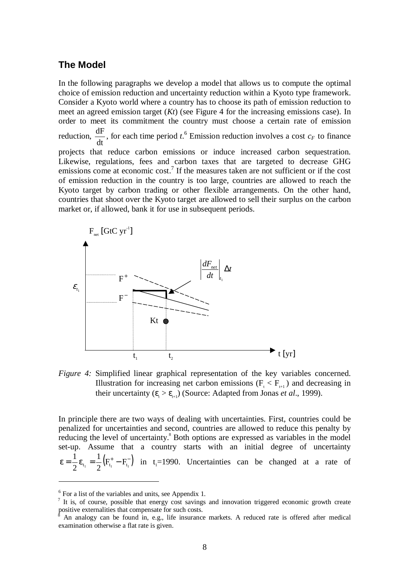### **The Model**

In the following paragraphs we develop a model that allows us to compute the optimal choice of emission reduction and uncertainty reduction within a Kyoto type framework. Consider a Kyoto world where a country has to choose its path of emission reduction to meet an agreed emission target (*Kt*) (see Figure 4 for the increasing emissions case). In order to meet its commitment the country must choose a certain rate of emission reduction,  $\frac{dF}{dt}$ , for each time period *t*.<sup>6</sup> Emission reduction involves a cost  $c_F$  to finance projects that reduce carbon emissions or induce increased carbon sequestration. Likewise, regulations, fees and carbon taxes that are targeted to decrease GHG emissions come at economic cost.<sup>7</sup> If the measures taken are not sufficient or if the cost of emission reduction in the country is too large, countries are allowed to reach the Kyoto target by carbon trading or other flexible arrangements. On the other hand, countries that shoot over the Kyoto target are allowed to sell their surplus on the carbon market or, if allowed, bank it for use in subsequent periods.



*Figure 4:* Simplified linear graphical representation of the key variables concerned. Illustration for increasing net carbon emissions ( $F_t$  <  $F_{t+1}$ ) and decreasing in their uncertainty ( $\epsilon_{t} > \epsilon_{t+1}$ ) (Source: Adapted from Jonas *et al.*, 1999).

In principle there are two ways of dealing with uncertainties. First, countries could be penalized for uncertainties and second, countries are allowed to reduce this penalty by reducing the level of uncertainty.<sup>8</sup> Both options are expressed as variables in the model set-up. Assume that a country starts with an initial degree of uncertainty  $\mathbf{\epsilon} = \frac{1}{2} \mathbf{\epsilon}_{\mathbf{t}_1} = \frac{1}{2} (\mathbf{F}_{\mathbf{t}_1}^{\text{+}} - \mathbf{F}_{\mathbf{t}_1}^{\text{-}})$  $\frac{1}{2}\varepsilon_{t_1} = \frac{1}{2}(F_{t_1}^+ - F_{t_1}^-)$  in t<sub>1</sub>=1990. Uncertainties can be changed at a rate of

 $\overline{a}$ 

<sup>&</sup>lt;sup>6</sup> For a list of the variables and units, see Appendix 1.

<sup>&</sup>lt;sup>7</sup> It is, of course, possible that energy cost savings and innovation triggered economic growth create positive externalities that compensate for such costs.

An analogy can be found in, e.g., life insurance markets. A reduced rate is offered after medical examination otherwise a flat rate is given.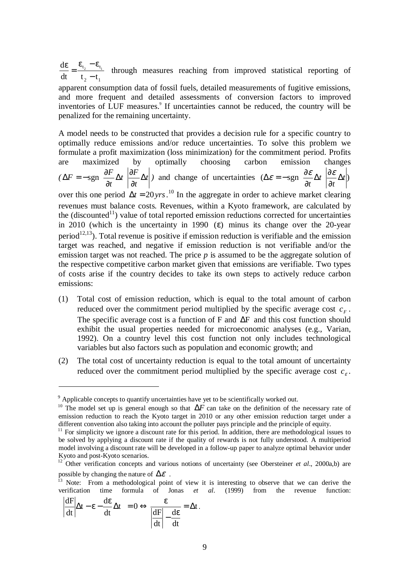2  $\mathfrak{t}_1$  $_{t_2}$   $-\mathbf{c}_t$ dt t<sub>2</sub> – t  $d\varepsilon_{\perp} \varepsilon_{t_2} - \varepsilon_{t_1}$ −  $\frac{\varepsilon}{\varepsilon} = \frac{\varepsilon_{t_2} - \varepsilon_{t_1}}{T}$  through measures reaching from improved statistical reporting of

apparent consumption data of fossil fuels, detailed measurements of fugitive emissions, and more frequent and detailed assessments of conversion factors to improved inventories of LUF measures.<sup>9</sup> If uncertainties cannot be reduced, the country will be penalized for the remaining uncertainty.

A model needs to be constructed that provides a decision rule for a specific country to optimally reduce emissions and/or reduce uncertainties. To solve this problem we formulate a profit maximization (loss minimization) for the commitment period. Profits are maximized by optimally choosing carbon emission changes  $(\Delta F = -\text{sgn} \frac{\partial F}{\partial x} \Delta t \Big| \frac{\partial F}{\partial x} \Delta t$ *t*  $\frac{\partial F}{\partial t}$ *t*  $F = -\text{sgn}\left(\frac{\partial F}{\partial \phi}\Delta t\right)\frac{\partial F}{\partial \phi}\Delta t$ ∂ ∂  $\overline{1}$  $\int \frac{\partial F}{\partial t} \Delta t$ l  $\int \frac{\partial F}{\partial \tau} \Delta$ ∂  $\Delta F = -\text{sgn}\left(\frac{\partial F}{\partial t}\Delta t\right)\frac{\partial F}{\partial t}dt$  and change of uncertainties  $(\Delta \varepsilon = -\text{sgn}\left(\frac{\partial \varepsilon}{\partial t}\Delta t\right)\frac{\partial \varepsilon}{\partial t}dt)$ *t t t* ∆ ∂ ∂ I  $\overline{\phantom{a}}$  $\left(\frac{\partial \mathcal{E}}{\partial x}\Delta t\right)$ l  $\int \frac{\partial \mathcal{E}}{\partial \phi} \Delta$ ∂  $\Delta \varepsilon = -\operatorname{sgn}\left(\frac{\partial \varepsilon}{\partial \varepsilon} \Delta t\right) \frac{\partial \varepsilon}{\partial \varepsilon}$ over this one period  $\Delta t = 20 \text{yrs}$ .<sup>10</sup> In the aggregate in order to achieve market clearing revenues must balance costs. Revenues, within a Kyoto framework, are calculated by the (discounted<sup>11</sup>) value of total reported emission reductions corrected for uncertainties in 2010 (which is the uncertainty in 1990  $(\epsilon)$  minus its change over the 20-year period<sup>12,13</sup>). Total revenue is positive if emission reduction is verifiable and the emission target was reached, and negative if emission reduction is not verifiable and/or the emission target was not reached. The price *p* is assumed to be the aggregate solution of the respective competitive carbon market given that emissions are verifiable. Two types of costs arise if the country decides to take its own steps to actively reduce carbon emissions:

- (1) Total cost of emission reduction, which is equal to the total amount of carbon reduced over the commitment period multiplied by the specific average cost  $c<sub>F</sub>$ . The specific average cost is a function of F and ∆F and this cost function should exhibit the usual properties needed for microeconomic analyses (e.g., Varian, 1992). On a country level this cost function not only includes technological variables but also factors such as population and economic growth; and
- (2) The total cost of uncertainty reduction is equal to the total amount of uncertainty reduced over the commitment period multiplied by the specific average cost  $c_{\varepsilon}$ .

$$
\left(\left|\frac{dF}{dt}\right|\Delta t - \varepsilon - \frac{d\varepsilon}{dt}\Delta t\right) = 0 \Leftrightarrow \frac{\varepsilon}{\left|\frac{dF}{dt}\right| - \frac{d\varepsilon}{dt}} = \Delta t.
$$

1

 $9$  Applicable concepts to quantify uncertainties have yet to be scientifically worked out.

<sup>&</sup>lt;sup>10</sup> The model set up is general enough so that  $\Delta F$  can take on the definition of the necessary rate of emission reduction to reach the Kyoto target in 2010 or any other emission reduction target under a different convention also taking into account the polluter pays principle and the principle of equity.

<sup>&</sup>lt;sup>11</sup> For simplicity we ignore a discount rate for this period. In addition, there are methodological issues to be solved by applying a discount rate if the quality of rewards is not fully understood. A multiperiod model involving a discount rate will be developed in a follow-up paper to analyze optimal behavior under Kyoto and post-Kyoto scenarios.

<sup>&</sup>lt;sup>12</sup> Other verification concepts and various notions of uncertainty (see Obersteiner *et al.*, 2000a,b) are possible by changing the nature of  $\Delta \mathcal{E}$ .

Note: From a methodological point of view it is interesting to observe that we can derive the verification time formula of Jonas *et al*. (1999) from the revenue function: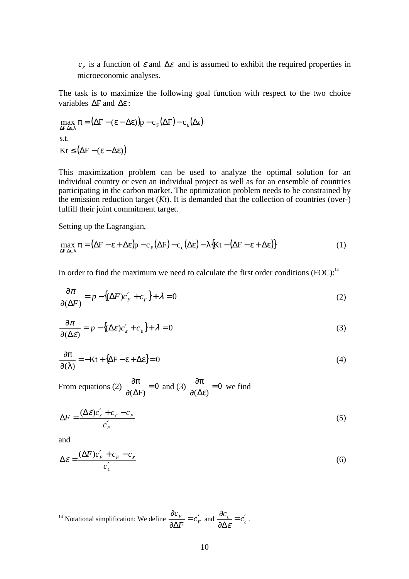$c_{\varepsilon}$  is a function of  $\varepsilon$  and  $\Delta \varepsilon$  and is assumed to exhibit the required properties in microeconomic analyses.

The task is to maximize the following goal function with respect to the two choice variables ∆F and ∆ε :

 $\max_{\Delta F, \Delta \varepsilon, \lambda} \pi = (\Delta F - (\varepsilon - \Delta \varepsilon)) p - c_F(\Delta F) - c_{\varepsilon}(\Delta \varepsilon)$  $\text{Kt} \leq (\Delta \text{F} - (\epsilon - \Delta \epsilon))$ s.t.

This maximization problem can be used to analyze the optimal solution for an individual country or even an individual project as well as for an ensemble of countries participating in the carbon market. The optimization problem needs to be constrained by the emission reduction target  $(Kt)$ . It is demanded that the collection of countries (over-) fulfill their joint commitment target.

Setting up the Lagrangian,

$$
\max_{\Delta F, \Delta \varepsilon, \lambda} \pi = (\Delta F - \varepsilon + \Delta \varepsilon) p - c_F(\Delta F) - c_{\varepsilon}(\Delta \varepsilon) - \lambda \{ Kt - (\Delta F - \varepsilon + \Delta \varepsilon) \}
$$
(1)

In order to find the maximum we need to calculate the first order conditions  $(FOC)^{14}$ 

$$
\frac{\partial \pi}{\partial (\Delta F)} = p - \{ (\Delta F)c'_F + c_F \} + \lambda = 0 \tag{2}
$$

$$
\frac{\partial \pi}{\partial(\Delta \varepsilon)} = p - \{ (\Delta \varepsilon) c'_{\varepsilon} + c_{\varepsilon} \} + \lambda = 0 \tag{3}
$$

$$
\frac{\partial \pi}{\partial(\lambda)} = -Kt + \{\Delta F - \varepsilon + \Delta \varepsilon\} = 0\tag{4}
$$

From equations (2)  $\frac{W}{2(1+W)} = 0$  $\frac{\partial \pi}{\partial (\Delta F)} = 0$  and (3)  $\frac{\partial \pi}{\partial (\Delta \varepsilon)} = 0$  $\frac{\partial \pi}{\partial(\Delta \varepsilon)} = 0$  we find

$$
\Delta F = \frac{(\Delta \varepsilon)c'_{\varepsilon} + c_{\varepsilon} - c_F}{c'_{F}} \tag{5}
$$

and

 $\overline{a}$ 

$$
\Delta \varepsilon = \frac{(\Delta F)c'_F + c_F - c_{\varepsilon}}{c'_{\varepsilon}}
$$
\n(6)

<sup>14</sup> Notational simplification: We define  $\frac{\partial c_F}{\partial \Delta F} = c_F^{\prime}$  $\frac{\partial c_F}{\partial \Delta F} = c_F'$ and  $\frac{\partial c}{\partial t} = c'_{\varepsilon}$  $\frac{\partial c_{\varepsilon}}{\partial \Delta \varepsilon} = c_{\varepsilon}'$ .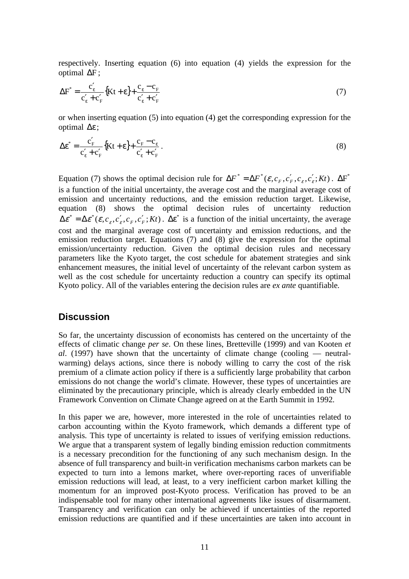respectively. Inserting equation (6) into equation (4) yields the expression for the optimal ∆F ;

$$
\Delta F^* = \frac{c'_{\varepsilon}}{c'_{\varepsilon} + c'_{F}} \{Kt + \varepsilon\} + \frac{c_{\varepsilon} - c_{F}}{c'_{\varepsilon} + c'_{F}} \tag{7}
$$

or when inserting equation (5) into equation (4) get the corresponding expression for the optimal ∆ε ;

$$
\Delta \varepsilon^* = \frac{c'_{\rm F}}{c'_{\rm \varepsilon} + c'_{\rm F}} \{Kt + \varepsilon\} + \frac{c_{\rm F} - c_{\rm \varepsilon}}{c'_{\rm \varepsilon} + c'_{\rm F}}.
$$
\n(8)

Equation (7) shows the optimal decision rule for  $\Delta F^* = \Delta F^* (\varepsilon, c_r, c'_r, c_c, c'_c; Kt)$ .  $\Delta F^*$ is a function of the initial uncertainty, the average cost and the marginal average cost of emission and uncertainty reductions, and the emission reduction target. Likewise, equation (8) shows the optimal decision rules of uncertainty reduction  $\Delta \varepsilon^* = \Delta \varepsilon^*(\varepsilon, c_s, c_s', c_F, c_F'; Kt)$ .  $\Delta \varepsilon^*$  is a function of the initial uncertainty, the average cost and the marginal average cost of uncertainty and emission reductions, and the emission reduction target. Equations (7) and (8) give the expression for the optimal emission/uncertainty reduction. Given the optimal decision rules and necessary parameters like the Kyoto target, the cost schedule for abatement strategies and sink enhancement measures, the initial level of uncertainty of the relevant carbon system as well as the cost schedule for uncertainty reduction a country can specify its optimal Kyoto policy. All of the variables entering the decision rules are *ex ante* quantifiable.

#### **Discussion**

So far, the uncertainty discussion of economists has centered on the uncertainty of the effects of climatic change *per se*. On these lines, Bretteville (1999) and van Kooten *et al*. (1997) have shown that the uncertainty of climate change (cooling — neutralwarming) delays actions, since there is nobody willing to carry the cost of the risk premium of a climate action policy if there is a sufficiently large probability that carbon emissions do not change the world's climate. However, these types of uncertainties are eliminated by the precautionary principle, which is already clearly embedded in the UN Framework Convention on Climate Change agreed on at the Earth Summit in 1992.

In this paper we are, however, more interested in the role of uncertainties related to carbon accounting within the Kyoto framework, which demands a different type of analysis. This type of uncertainty is related to issues of verifying emission reductions. We argue that a transparent system of legally binding emission reduction commitments is a necessary precondition for the functioning of any such mechanism design. In the absence of full transparency and built-in verification mechanisms carbon markets can be expected to turn into a lemons market, where over-reporting races of unverifiable emission reductions will lead, at least, to a very inefficient carbon market killing the momentum for an improved post-Kyoto process. Verification has proved to be an indispensable tool for many other international agreements like issues of disarmament. Transparency and verification can only be achieved if uncertainties of the reported emission reductions are quantified and if these uncertainties are taken into account in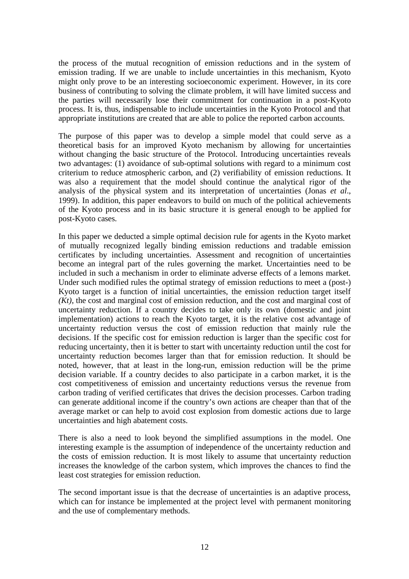the process of the mutual recognition of emission reductions and in the system of emission trading. If we are unable to include uncertainties in this mechanism, Kyoto might only prove to be an interesting socioeconomic experiment. However, in its core business of contributing to solving the climate problem, it will have limited success and the parties will necessarily lose their commitment for continuation in a post-Kyoto process. It is, thus, indispensable to include uncertainties in the Kyoto Protocol and that appropriate institutions are created that are able to police the reported carbon accounts.

The purpose of this paper was to develop a simple model that could serve as a theoretical basis for an improved Kyoto mechanism by allowing for uncertainties without changing the basic structure of the Protocol. Introducing uncertainties reveals two advantages: (1) avoidance of sub-optimal solutions with regard to a minimum cost criterium to reduce atmospheric carbon, and (2) verifiability of emission reductions. It was also a requirement that the model should continue the analytical rigor of the analysis of the physical system and its interpretation of uncertainties (Jonas *et al*., 1999). In addition, this paper endeavors to build on much of the political achievements of the Kyoto process and in its basic structure it is general enough to be applied for post-Kyoto cases.

In this paper we deducted a simple optimal decision rule for agents in the Kyoto market of mutually recognized legally binding emission reductions and tradable emission certificates by including uncertainties. Assessment and recognition of uncertainties become an integral part of the rules governing the market. Uncertainties need to be included in such a mechanism in order to eliminate adverse effects of a lemons market. Under such modified rules the optimal strategy of emission reductions to meet a (post-) Kyoto target is a function of initial uncertainties, the emission reduction target itself *(Kt)*, the cost and marginal cost of emission reduction, and the cost and marginal cost of uncertainty reduction. If a country decides to take only its own (domestic and joint implementation) actions to reach the Kyoto target, it is the relative cost advantage of uncertainty reduction versus the cost of emission reduction that mainly rule the decisions. If the specific cost for emission reduction is larger than the specific cost for reducing uncertainty, then it is better to start with uncertainty reduction until the cost for uncertainty reduction becomes larger than that for emission reduction. It should be noted, however, that at least in the long-run, emission reduction will be the prime decision variable. If a country decides to also participate in a carbon market, it is the cost competitiveness of emission and uncertainty reductions versus the revenue from carbon trading of verified certificates that drives the decision processes. Carbon trading can generate additional income if the country's own actions are cheaper than that of the average market or can help to avoid cost explosion from domestic actions due to large uncertainties and high abatement costs.

There is also a need to look beyond the simplified assumptions in the model. One interesting example is the assumption of independence of the uncertainty reduction and the costs of emission reduction. It is most likely to assume that uncertainty reduction increases the knowledge of the carbon system, which improves the chances to find the least cost strategies for emission reduction.

The second important issue is that the decrease of uncertainties is an adaptive process, which can for instance be implemented at the project level with permanent monitoring and the use of complementary methods.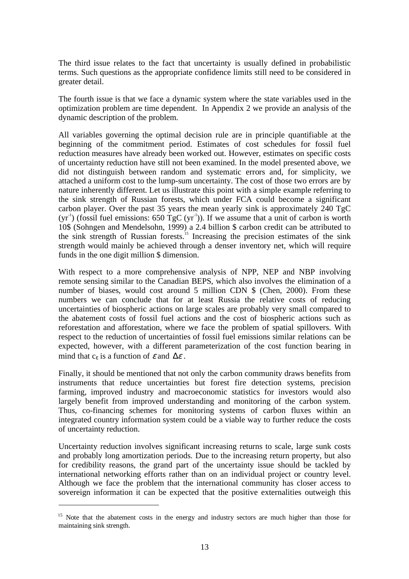The third issue relates to the fact that uncertainty is usually defined in probabilistic terms. Such questions as the appropriate confidence limits still need to be considered in greater detail.

The fourth issue is that we face a dynamic system where the state variables used in the optimization problem are time dependent. In Appendix 2 we provide an analysis of the dynamic description of the problem.

All variables governing the optimal decision rule are in principle quantifiable at the beginning of the commitment period. Estimates of cost schedules for fossil fuel reduction measures have already been worked out. However, estimates on specific costs of uncertainty reduction have still not been examined. In the model presented above, we did not distinguish between random and systematic errors and, for simplicity, we attached a uniform cost to the lump-sum uncertainty. The cost of those two errors are by nature inherently different. Let us illustrate this point with a simple example referring to the sink strength of Russian forests, which under FCA could become a significant carbon player. Over the past 35 years the mean yearly sink is approximately 240 TgC  $(yr^{-1})$  (fossil fuel emissions: 650 TgC  $(yr^{-1})$ ). If we assume that a unit of carbon is worth 10\$ (Sohngen and Mendelsohn, 1999) a 2.4 billion \$ carbon credit can be attributed to the sink strength of Russian forests.<sup>15</sup> Increasing the precision estimates of the sink strength would mainly be achieved through a denser inventory net, which will require funds in the one digit million \$ dimension.

With respect to a more comprehensive analysis of NPP, NEP and NBP involving remote sensing similar to the Canadian BEPS, which also involves the elimination of a number of biases, would cost around 5 million CDN \$ (Chen, 2000). From these numbers we can conclude that for at least Russia the relative costs of reducing uncertainties of biospheric actions on large scales are probably very small compared to the abatement costs of fossil fuel actions and the cost of biospheric actions such as reforestation and afforestation, where we face the problem of spatial spillovers. With respect to the reduction of uncertainties of fossil fuel emissions similar relations can be expected, however, with a different parameterization of the cost function bearing in mind that  $c_{\varepsilon}$  is a function of  $\varepsilon$  and  $\Delta \varepsilon$ .

Finally, it should be mentioned that not only the carbon community draws benefits from instruments that reduce uncertainties but forest fire detection systems, precision farming, improved industry and macroeconomic statistics for investors would also largely benefit from improved understanding and monitoring of the carbon system. Thus, co-financing schemes for monitoring systems of carbon fluxes within an integrated country information system could be a viable way to further reduce the costs of uncertainty reduction.

Uncertainty reduction involves significant increasing returns to scale, large sunk costs and probably long amortization periods. Due to the increasing return property, but also for credibility reasons, the grand part of the uncertainty issue should be tackled by international networking efforts rather than on an individual project or country level. Although we face the problem that the international community has closer access to sovereign information it can be expected that the positive externalities outweigh this

1

<sup>&</sup>lt;sup>15</sup> Note that the abatement costs in the energy and industry sectors are much higher than those for maintaining sink strength.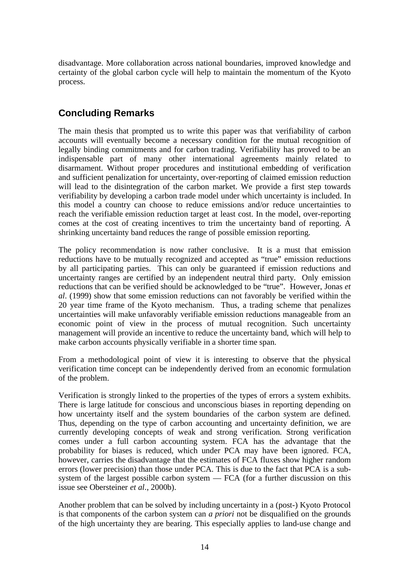disadvantage. More collaboration across national boundaries, improved knowledge and certainty of the global carbon cycle will help to maintain the momentum of the Kyoto process.

## **Concluding Remarks**

The main thesis that prompted us to write this paper was that verifiability of carbon accounts will eventually become a necessary condition for the mutual recognition of legally binding commitments and for carbon trading. Verifiability has proved to be an indispensable part of many other international agreements mainly related to disarmament. Without proper procedures and institutional embedding of verification and sufficient penalization for uncertainty, over-reporting of claimed emission reduction will lead to the disintegration of the carbon market. We provide a first step towards verifiability by developing a carbon trade model under which uncertainty is included. In this model a country can choose to reduce emissions and/or reduce uncertainties to reach the verifiable emission reduction target at least cost. In the model, over-reporting comes at the cost of creating incentives to trim the uncertainty band of reporting. A shrinking uncertainty band reduces the range of possible emission reporting.

The policy recommendation is now rather conclusive. It is a must that emission reductions have to be mutually recognized and accepted as "true" emission reductions by all participating parties. This can only be guaranteed if emission reductions and uncertainty ranges are certified by an independent neutral third party. Only emission reductions that can be verified should be acknowledged to be "true". However, Jonas *et al*. (1999) show that some emission reductions can not favorably be verified within the 20 year time frame of the Kyoto mechanism. Thus, a trading scheme that penalizes uncertainties will make unfavorably verifiable emission reductions manageable from an economic point of view in the process of mutual recognition. Such uncertainty management will provide an incentive to reduce the uncertainty band, which will help to make carbon accounts physically verifiable in a shorter time span.

From a methodological point of view it is interesting to observe that the physical verification time concept can be independently derived from an economic formulation of the problem.

Verification is strongly linked to the properties of the types of errors a system exhibits. There is large latitude for conscious and unconscious biases in reporting depending on how uncertainty itself and the system boundaries of the carbon system are defined. Thus, depending on the type of carbon accounting and uncertainty definition, we are currently developing concepts of weak and strong verification. Strong verification comes under a full carbon accounting system. FCA has the advantage that the probability for biases is reduced, which under PCA may have been ignored. FCA, however, carries the disadvantage that the estimates of FCA fluxes show higher random errors (lower precision) than those under PCA. This is due to the fact that PCA is a subsystem of the largest possible carbon system — FCA (for a further discussion on this issue see Obersteiner *et al*., 2000b).

Another problem that can be solved by including uncertainty in a (post-) Kyoto Protocol is that components of the carbon system can *a priori* not be disqualified on the grounds of the high uncertainty they are bearing. This especially applies to land-use change and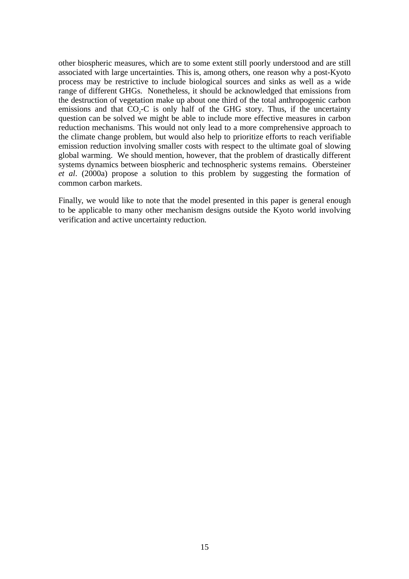other biospheric measures, which are to some extent still poorly understood and are still associated with large uncertainties. This is, among others, one reason why a post-Kyoto process may be restrictive to include biological sources and sinks as well as a wide range of different GHGs. Nonetheless, it should be acknowledged that emissions from the destruction of vegetation make up about one third of the total anthropogenic carbon emissions and that  $CO<sub>2</sub>-C$  is only half of the GHG story. Thus, if the uncertainty question can be solved we might be able to include more effective measures in carbon reduction mechanisms. This would not only lead to a more comprehensive approach to the climate change problem, but would also help to prioritize efforts to reach verifiable emission reduction involving smaller costs with respect to the ultimate goal of slowing global warming. We should mention, however, that the problem of drastically different systems dynamics between biospheric and technospheric systems remains. Obersteiner *et al*. (2000a) propose a solution to this problem by suggesting the formation of common carbon markets.

Finally, we would like to note that the model presented in this paper is general enough to be applicable to many other mechanism designs outside the Kyoto world involving verification and active uncertainty reduction.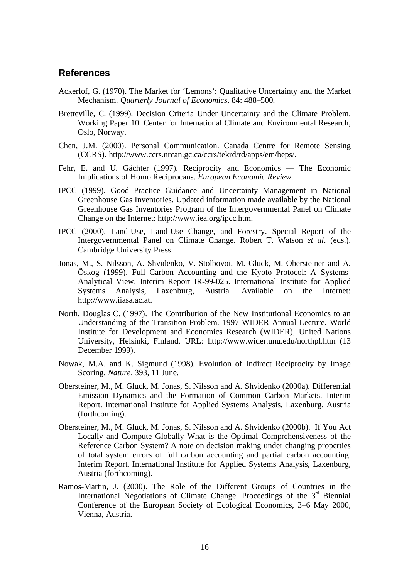#### **References**

- Ackerlof, G. (1970). The Market for 'Lemons': Qualitative Uncertainty and the Market Mechanism. *Quarterly Journal of Economics,* 84: 488–500.
- Bretteville, C. (1999). Decision Criteria Under Uncertainty and the Climate Problem. Working Paper 10. Center for International Climate and Environmental Research, Oslo, Norway.
- Chen, J.M. (2000). Personal Communication. Canada Centre for Remote Sensing (CCRS). http://www.ccrs.nrcan.gc.ca/ccrs/tekrd/rd/apps/em/beps/.
- Fehr, E. and U. Gächter (1997). Reciprocity and Economics The Economic Implications of Homo Reciprocans. *European Economic Review*.
- IPCC (1999). Good Practice Guidance and Uncertainty Management in National Greenhouse Gas Inventories. Updated information made available by the National Greenhouse Gas Inventories Program of the Intergovernmental Panel on Climate Change on the Internet: http://www.iea.org/ipcc.htm.
- IPCC (2000). Land-Use, Land-Use Change, and Forestry. Special Report of the Intergovernmental Panel on Climate Change. Robert T. Watson *et al*. (eds.), Cambridge University Press.
- Jonas, M., S. Nilsson, A. Shvidenko, V. Stolbovoi, M. Gluck, M. Obersteiner and A. Öskog (1999). Full Carbon Accounting and the Kyoto Protocol: A Systems-Analytical View. Interim Report IR-99-025. International Institute for Applied Systems Analysis, Laxenburg, Austria. Available on the Internet: http://www.iiasa.ac.at.
- North, Douglas C. (1997). The Contribution of the New Institutional Economics to an Understanding of the Transition Problem. 1997 WIDER Annual Lecture. World Institute for Development and Economics Research (WIDER), United Nations University, Helsinki, Finland. URL: http://www.wider.unu.edu/northpl.htm (13 December 1999).
- Nowak, M.A. and K. Sigmund (1998). Evolution of Indirect Reciprocity by Image Scoring. *Nature,* 393, 11 June.
- Obersteiner, M., M. Gluck, M. Jonas, S. Nilsson and A. Shvidenko (2000a). Differential Emission Dynamics and the Formation of Common Carbon Markets. Interim Report. International Institute for Applied Systems Analysis, Laxenburg, Austria (forthcoming).
- Obersteiner, M., M. Gluck, M. Jonas, S. Nilsson and A. Shvidenko (2000b). If You Act Locally and Compute Globally What is the Optimal Comprehensiveness of the Reference Carbon System? A note on decision making under changing properties of total system errors of full carbon accounting and partial carbon accounting. Interim Report. International Institute for Applied Systems Analysis, Laxenburg, Austria (forthcoming).
- Ramos-Martin, J. (2000). The Role of the Different Groups of Countries in the International Negotiations of Climate Change. Proceedings of the  $3<sup>rd</sup>$  Biennial Conference of the European Society of Ecological Economics, 3–6 May 2000, Vienna, Austria.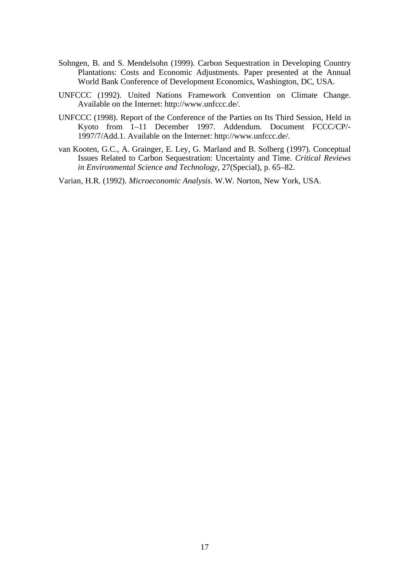- Sohngen, B. and S. Mendelsohn (1999). Carbon Sequestration in Developing Country Plantations: Costs and Economic Adjustments. Paper presented at the Annual World Bank Conference of Development Economics, Washington, DC, USA.
- UNFCCC (1992). United Nations Framework Convention on Climate Change. Available on the Internet: http://www.unfccc.de/.
- UNFCCC (1998). Report of the Conference of the Parties on Its Third Session, Held in Kyoto from 1–11 December 1997. Addendum. Document FCCC/CP/- 1997/7/Add.1. Available on the Internet: http://www.unfccc.de/.
- van Kooten, G.C., A. Grainger, E. Ley, G. Marland and B. Solberg (1997). Conceptual Issues Related to Carbon Sequestration: Uncertainty and Time. *Critical Reviews in Environmental Science and Technology*, 27(Special), p. 65–82.

Varian, H.R. (1992). *Microeconomic Analysis*. W.W. Norton, New York, USA.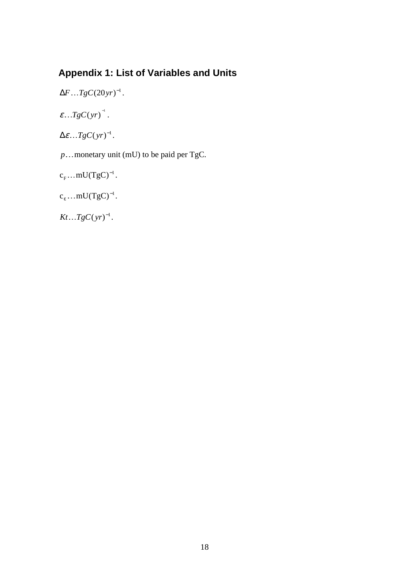# **Appendix 1: List of Variables and Units**

```
\Delta F \dots T g C (20 yr)^{-1}.
```
 $\varepsilon$ ...TgC(yr)<sup>-1</sup>.

 $\Delta \varepsilon$ ...TgC(yr)<sup>-1</sup>.

*p*...monetary unit (mU) to be paid per TgC.

```
c_F... mU(TgC)^{-1}.
```
 $c_{\varepsilon} \dots mU(TgC)^{-1}.$ 

 $Kt...TgC(yr)^{-1}.$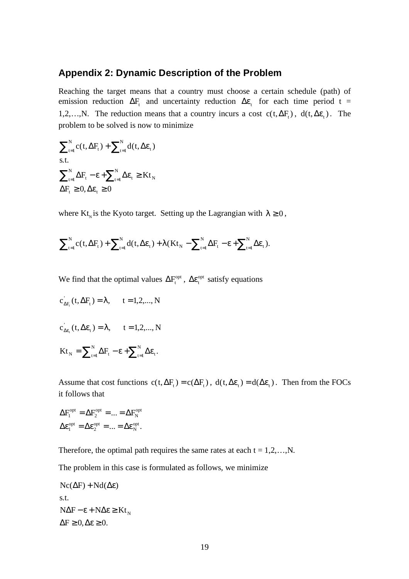### **Appendix 2: Dynamic Description of the Problem**

Reaching the target means that a country must choose a certain schedule (path) of emission reduction  $\Delta F_t$  and uncertainty reduction  $\Delta \varepsilon$ , for each time period t = 1,2,…,N. The reduction means that a country incurs a cost  $c(t, \Delta F_t)$ ,  $d(t, \Delta \varepsilon_t)$ . The problem to be solved is now to minimize

$$
\sum_{t=1}^{N} c(t, \Delta F_t) + \sum_{t=1}^{N} d(t, \Delta \varepsilon_t)
$$
  
s.t.  

$$
\sum_{t=1}^{N} \Delta F_t - \varepsilon + \sum_{t=1}^{N} \Delta \varepsilon_t \geq K t_N
$$
  

$$
\Delta F_t \geq 0, \Delta \varepsilon_t \geq 0
$$

where Kt<sub>N</sub> is the Kyoto target. Setting up the Lagrangian with  $\lambda \geq 0$ ,

$$
\sum\nolimits_{t=1}^N c(t,\Delta F_t) + \sum\nolimits_{t=1}^N d(t,\Delta \epsilon_t) + \lambda (Kt_N - \sum\nolimits_{t=1}^N \Delta F_t - \epsilon + \sum\nolimits_{t=1}^N \Delta \epsilon_t).
$$

We find that the optimal values  $\Delta F_t^{\text{opt}}$ ,  $\Delta \varepsilon_t^{\text{opt}}$  satisfy equations

$$
c_{\Delta F_t}^{'}(t, \Delta F_t) = \lambda, \qquad t = 1, 2, ..., N
$$
  

$$
c_{\Delta \varepsilon_t}^{'}(t, \Delta \varepsilon_t) = \lambda, \qquad t = 1, 2, ..., N
$$
  

$$
Kt_N = \sum_{t=1}^{N} \Delta F_t - \varepsilon + \sum_{t=1}^{N} \Delta \varepsilon_t.
$$

Assume that cost functions  $c(t, \Delta F_t) = c(\Delta F_t)$ ,  $d(t, \Delta \varepsilon_t) = d(\Delta \varepsilon_t)$ . Then from the FOCs it follows that

$$
\Delta F_1^{\text{opt}} = \Delta F_2^{\text{opt}} = \dots = \Delta F_N^{\text{opt}}
$$

$$
\Delta \varepsilon_1^{\text{opt}} = \Delta \varepsilon_2^{\text{opt}} = \dots = \Delta \varepsilon_N^{\text{opt}}.
$$

Therefore, the optimal path requires the same rates at each  $t = 1, 2, \ldots, N$ .

The problem in this case is formulated as follows, we minimize

$$
Nc(\Delta F) + Nd(\Delta \varepsilon)
$$
  
s.t.  

$$
N\Delta F - \varepsilon + N\Delta \varepsilon \ge Kt_N
$$
  

$$
\Delta F \ge 0, \Delta \varepsilon \ge 0.
$$